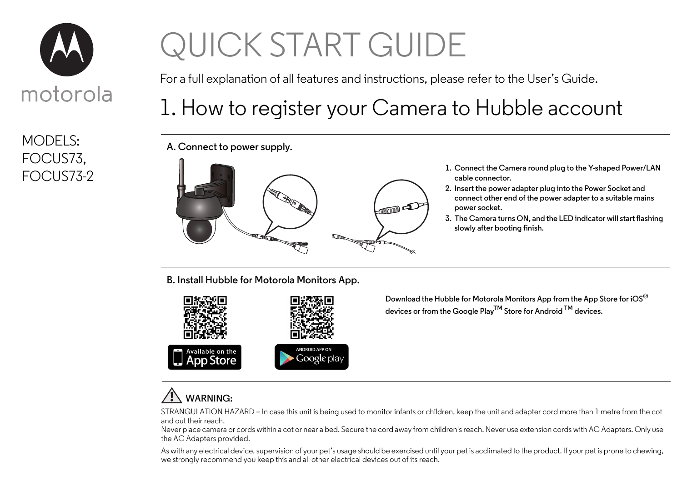

MODELS: FOCUS73,

# QUICK START GUIDE

For a full explanation of all features and instructions, please refer to the User's Guide.

## 1. How to register your Camera to Hubble account

**A. Connect to power supply.**



- **cable connector.**
- **2. Insert the power adapter plug into the Power Socket and connect other end of the power adapter to a suitable mains power socket.**
- **3. The Camera turns ON, and the LED indicator will start flashing slowly after booting finish.**

**B. Install Hubble for Motorola Monitors App.**



**Download the Hubble for Motorola Monitors App from the App Store for iOS® devices or from the Google PlayTM Store for Android TM devices.**

### **WARNING:**

STRANGULATION HAZARD – In case this unit is being used to monitor infants or children, keep the unit and adapter cord more than 1 metre from the cot and out their reach.

Never place camera or cords within a cot or near a bed. Secure the cord away from children's reach. Never use extension cords with AC Adapters. Only use the AC Adapters provided.

As with any electrical device, supervision of your pet's usage should be exercised until your pet is acclimated to the product. If your pet is prone to chewing, we strongly recommend you keep this and all other electrical devices out of its reach.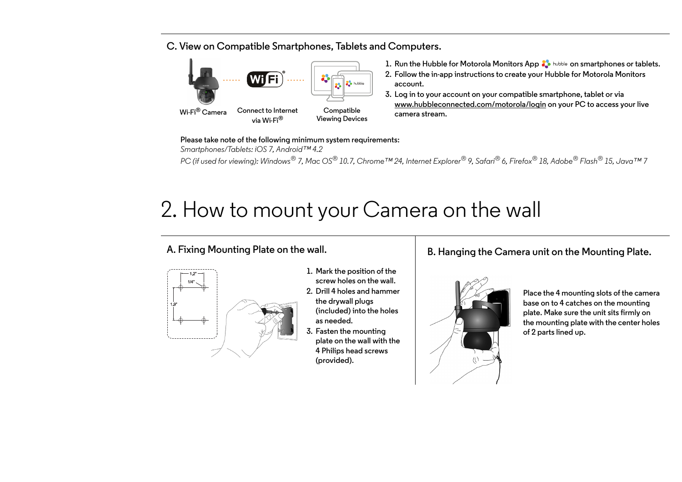#### **C. View on Compatible Smartphones, Tablets and Computers.**



- **1. Run the Hubble for Motorola Monitors App**  $\bullet$  **hubble on smartphones or tablets.**
- **2. Follow the in-app instructions to create your Hubble for Motorola Monitors account.**
- **3. Log in to your account on your compatible smartphone, tablet or via www.hubbleconnected.com/motorola/login on your PC to access your live camera stream.**

**Please take note of the following minimum system requirements:** *Smartphones/Tablets: iOS 7, Android™ 4.2 PC (if used for viewing): Windows® 7, Mac OS® 10.7, Chrome™ 24, Internet Explorer® 9, Safari® 6, Firefox® 18, Adobe® Flash® 15, Java™ 7*

# 2. How to mount your Camera on the wall

#### **A. Fixing Mounting Plate on the wall.**



- **1. Mark the position of the screw holes on the wall.**
- **2. Drill 4 holes and hammer the drywall plugs (included) into the holes as needed.**
- **3. Fasten the mounting plate on the wall with the 4 Philips head screws (provided).**

#### **B. Hanging the Camera unit on the Mounting Plate.**



**Place the 4 mounting slots of the camera base on to 4 catches on the mounting plate. Make sure the unit sits firmly on the mounting plate with the center holes of 2 parts lined up.**